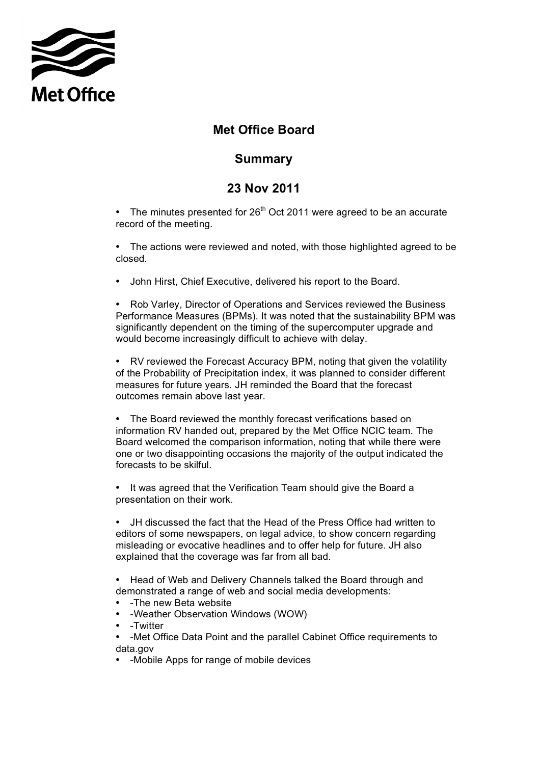

## **Met Office Board**

## **Summary**

## **23 Nov 2011**

• The minutes presented for  $26<sup>th</sup>$  Oct 2011 were agreed to be an accurate record of the meeting.

 • The actions were reviewed and noted, with those highlighted agreed to be closed.

• John Hirst, Chief Executive, delivered his report to the Board.

 • Rob Varley, Director of Operations and Services reviewed the Business Performance Measures (BPMs). It was noted that the sustainability BPM was significantly dependent on the timing of the supercomputer upgrade and would become increasingly difficult to achieve with delay.

 of the Probability of Precipitation index, it was planned to consider different measures for future years. JH reminded the Board that the forecast outcomes remain above last year. • RV reviewed the Forecast Accuracy BPM, noting that given the volatility

 • The Board reviewed the monthly forecast verifications based on information RV handed out, prepared by the Met Office NCIC team. The Board welcomed the comparison information, noting that while there were one or two disappointing occasions the majority of the output indicated the forecasts to be skilful.

• It was agreed that the Verification Team should give the Board a presentation on their work.

 • JH discussed the fact that the Head of the Press Office had written to editors of some newspapers, on legal advice, to show concern regarding misleading or evocative headlines and to offer help for future. JH also explained that the coverage was far from all bad.

 • Head of Web and Delivery Channels talked the Board through and demonstrated a range of web and social media developments:

- -The new Beta website
- -Weather Observation Windows (WOW)
- -Twitter
- • -Met Office Data Point and the parallel Cabinet Office requirements to data.gov
- -Mobile Apps for range of mobile devices